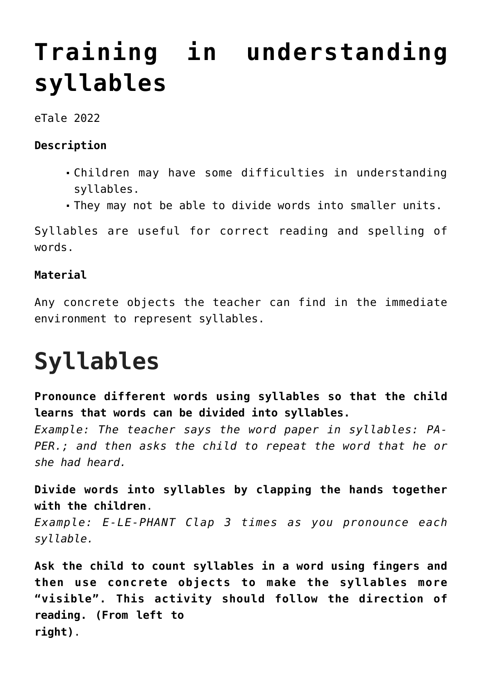## **[Training in understanding](https://dev.taleafrica.com/tips/training-in-understanding-syllables/) [syllables](https://dev.taleafrica.com/tips/training-in-understanding-syllables/)**

eTale 2022

## **Description**

- Children may have some difficulties in understanding syllables.
- They may not be able to divide words into smaller units.

Syllables are useful for correct reading and spelling of words.

## **Material**

Any concrete objects the teacher can find in the immediate environment to represent syllables.

## **Syllables**

**Pronounce different words using syllables so that the child learns that words can be divided into syllables.**

*Example: The teacher says the word paper in syllables: PA-PER.; and then asks the child to repeat the word that he or she had heard.*

**Divide words into syllables by clapping the hands together with the children**.

*Example: E-LE-PHANT Clap 3 times as you pronounce each syllable.*

**Ask the child to count syllables in a word using fingers and then use concrete objects to make the syllables more "visible". This activity should follow the direction of reading. (From left to right)**.